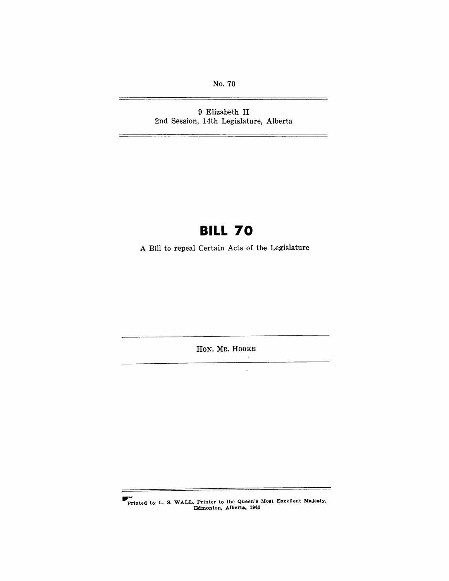No. 70

9 Elizabeth II 2nd Session, 14th Legislature, Alberta

# **BILL 70**

A Bill to repeal Certain Acts of the Legislature

HON. MR. HOOKE

 $\lambda$  $\bar{z}$ 

.-Printed by L. S. WALL, Printer to the Queen's Most Excellent Majesty, Edmonton, Alberta, 1961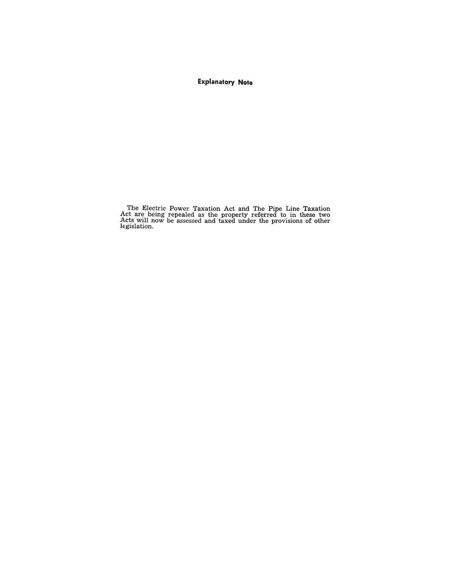### **Explanatory Note**

The Electric Power Taxation Act and The Pipe Line Taxation Act are being repealed as the property referred to in these two Acts will now be assessed and taxed under the provisions of other legislation.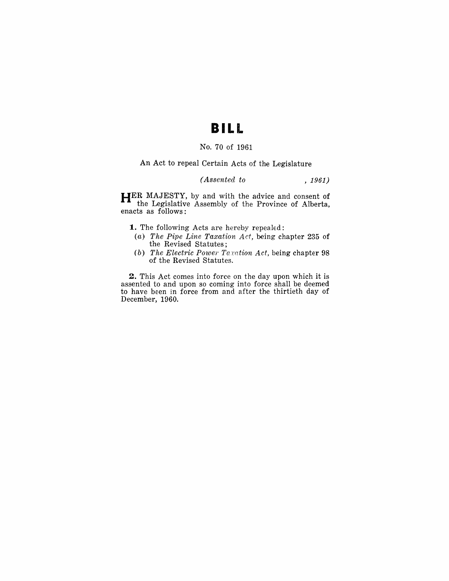### **BILL**

#### No. 70 of 1961

An Act to repeal Certain Acts of the Legislature

*(Assented to* , 1961)

**HER** MAJESTY, by and with the advice and consent of the Legislative Assembly of the Province of Alberta, enacts as follows:

- **1.** The following Acts are hereby repealed:
- (a) *The Pipe Line Taxation Act,* being chapter 235 of the Revised Statutes;
- (b) *The Electric Power Taxation Act,* being chapter 98 of the Revised Statutes.

**2.** This Act comes into force on the day upon which it is assented to and upon so coming into force shall be deemed to have been in force from and after the thirtieth day of December, 1960.